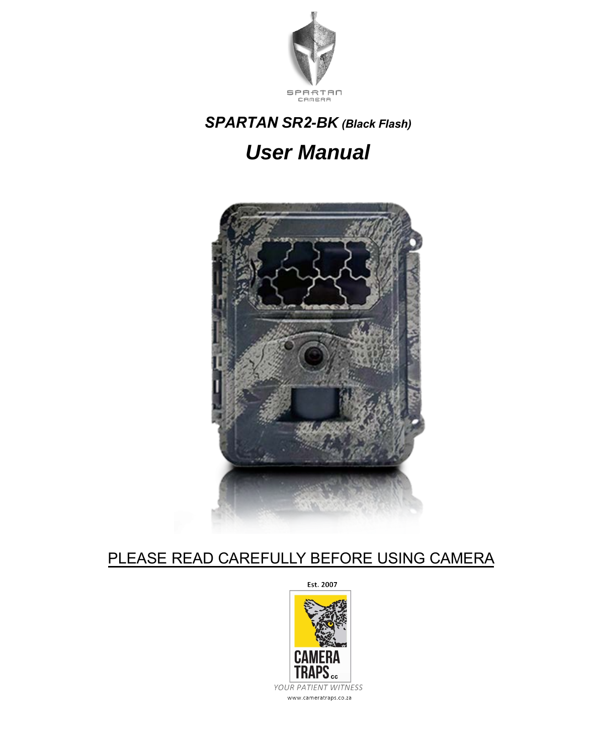

# *SPARTAN SR2-BK (Black Flash)*

## *User Manual*



### PLEASE READ CAREFULLY BEFORE USING CAMERA

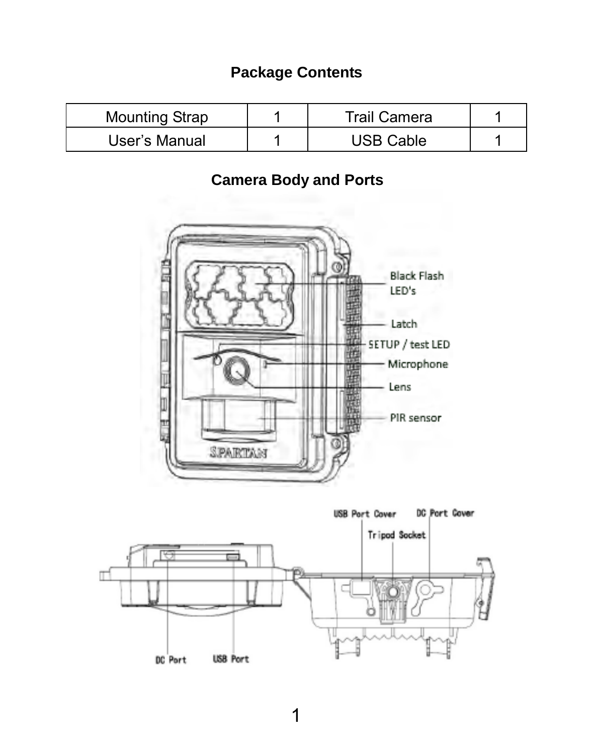### **Package Contents**

| Mounting Strap | Trail Camera |  |
|----------------|--------------|--|
| User's Manual  | JSB Cable    |  |

### **Camera Body and Ports**



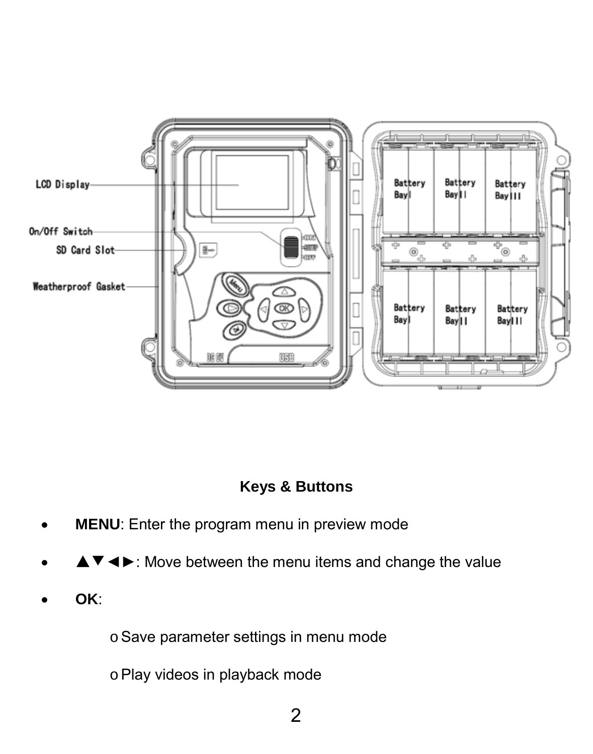

### **Keys & Buttons**

- **MENU:** Enter the program menu in preview mode
- ▲▼◄►: Move between the menu items and change the value
- **OK**:

o Save parameter settings in menu mode

o Play videos in playback mode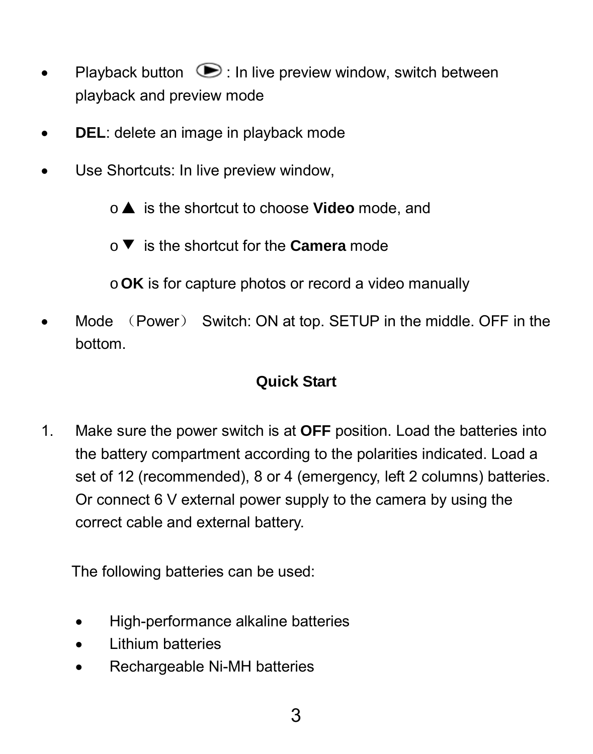- Playback button  $\odot$  : In live preview window, switch between playback and preview mode
- **DEL**: delete an image in playback mode
- Use Shortcuts: In live preview window,

o▲ is the shortcut to choose **Video** mode, and

o▼ is the shortcut for the **Camera** mode

o**OK** is for capture photos or record a video manually

• Mode (Power) Switch: ON at top. SETUP in the middle. OFF in the bottom.

### **Quick Start**

1. Make sure the power switch is at **OFF** position. Load the batteries into the battery compartment according to the polarities indicated. Load a set of 12 (recommended), 8 or 4 (emergency, left 2 columns) batteries. Or connect 6 V external power supply to the camera by using the correct cable and external battery.

The following batteries can be used:

- High-performance alkaline batteries
- Lithium batteries
- Rechargeable Ni-MH batteries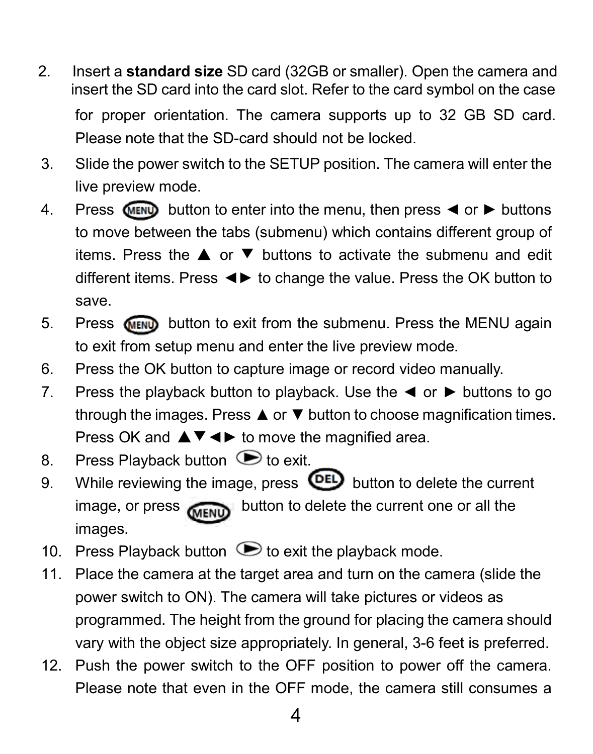2. Insert a **standard size** SD card (32GB or smaller). Open the camera and insert the SD card into the card slot. Refer to the card symbol on the case

for proper orientation. The camera supports up to 32 GB SD card. Please note that the SD-card should not be locked.

- 3. Slide the power switch to the SETUP position. The camera will enter the live preview mode.
- 4. Press MENU button to enter into the menu, then press ◀ or ▶ buttons to move between the tabs (submenu) which contains different group of items. Press the ▲ or ▼ buttons to activate the submenu and edit different items. Press ◄► to change the value. Press the OK button to save.
- 5. Press button to exit from the submenu. Press the MENU again to exit from setup menu and enter the live preview mode.
- 6. Press the OK button to capture image or record video manually.
- 7. Press the playback button to playback. Use the  $\triangleleft$  or  $\triangleright$  buttons to go through the images. Press ▲ or ▼ button to choose magnification times. Press OK and  $\blacktriangle \blacktriangledown \blacktriangle \blacktriangleright$  to move the magnified area.
- 8. Press Playback button  $\cup$  to exit.
- 9. While reviewing the image, press  $\overline{\text{OED}}$  button to delete the current image, or press **CHENU** button to delete the current one or all the images.
- 10. Press Playback button  $\bullet$  to exit the playback mode.
- 11. Place the camera at the target area and turn on the camera (slide the power switch to ON). The camera will take pictures or videos as programmed. The height from the ground for placing the camera should vary with the object size appropriately. In general, 3-6 feet is preferred.
- 12. Push the power switch to the OFF position to power off the camera. Please note that even in the OFF mode, the camera still consumes a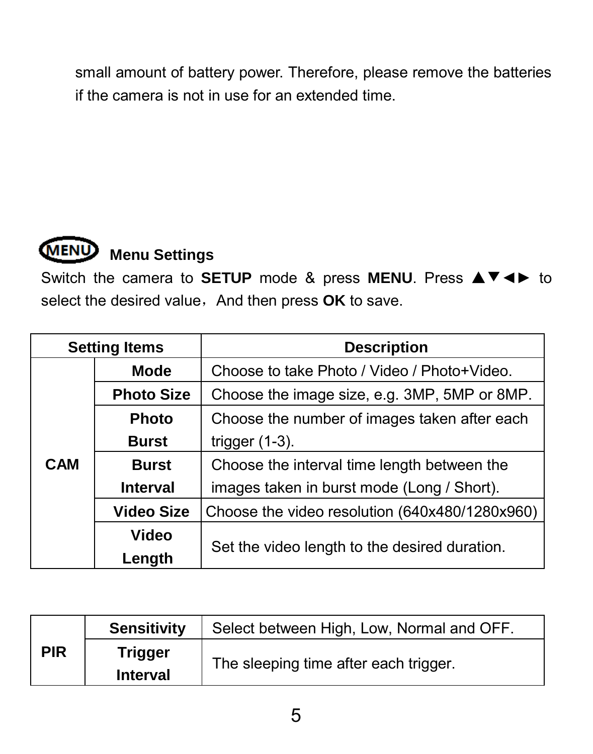small amount of battery power. Therefore, please remove the batteries if the camera is not in use for an extended time.



## **Menu Settings**

Switch the camera to **SETUP** mode & press **MENU**. Press ▲▼◄► to select the desired value, And then press OK to save.

|     | <b>Setting Items</b> | <b>Description</b>                             |
|-----|----------------------|------------------------------------------------|
|     | Mode                 | Choose to take Photo / Video / Photo+Video.    |
|     | <b>Photo Size</b>    | Choose the image size, e.g. 3MP, 5MP or 8MP.   |
|     | Photo                | Choose the number of images taken after each   |
|     | <b>Burst</b>         | trigger $(1-3)$ .                              |
| CAM | <b>Burst</b>         | Choose the interval time length between the    |
|     | Interval             | images taken in burst mode (Long / Short).     |
|     | Video Size           | Choose the video resolution (640x480/1280x960) |
|     | Video                |                                                |
|     | Length               | Set the video length to the desired duration.  |

|            | <b>Sensitivity</b>  | Select between High, Low, Normal and OFF. |
|------------|---------------------|-------------------------------------------|
| <b>PIR</b> | Trigger<br>Interval | The sleeping time after each trigger.     |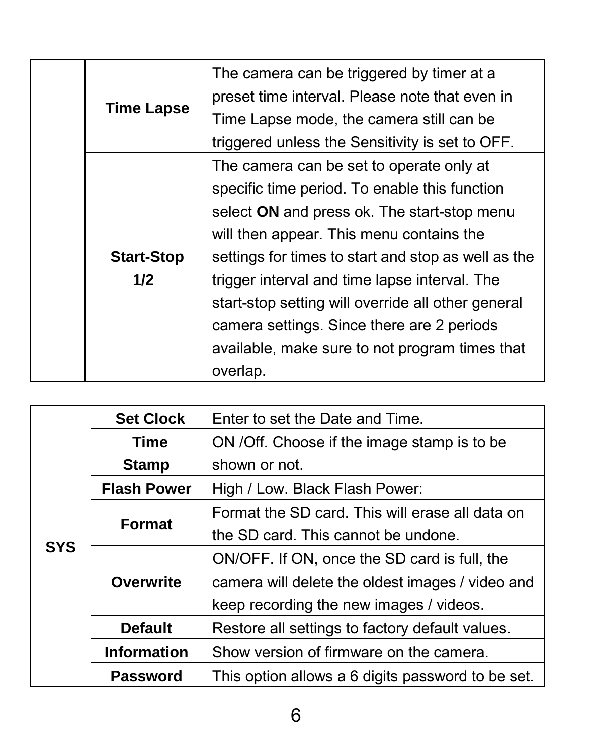|  |                                                 | The camera can be triggered by timer at a           |
|--|-------------------------------------------------|-----------------------------------------------------|
|  | <b>Time Lapse</b>                               | preset time interval. Please note that even in      |
|  |                                                 | Time Lapse mode, the camera still can be            |
|  | triggered unless the Sensitivity is set to OFF. |                                                     |
|  |                                                 | The camera can be set to operate only at            |
|  |                                                 | specific time period. To enable this function       |
|  |                                                 | select ON and press ok. The start-stop menu         |
|  |                                                 | will then appear. This menu contains the            |
|  | <b>Start-Stop</b>                               | settings for times to start and stop as well as the |
|  | 1/2                                             | trigger interval and time lapse interval. The       |
|  |                                                 | start-stop setting will override all other general  |
|  |                                                 | camera settings. Since there are 2 periods          |
|  |                                                 | available, make sure to not program times that      |
|  |                                                 | overlap.                                            |

| <b>SYS</b> | <b>Set Clock</b>   | Enter to set the Date and Time                    |  |
|------------|--------------------|---------------------------------------------------|--|
|            | Time               | ON / Off. Choose if the image stamp is to be      |  |
|            | <b>Stamp</b>       | shown or not.                                     |  |
|            | <b>Flash Power</b> | High / Low. Black Flash Power:                    |  |
|            | Format             | Format the SD card. This will erase all data on   |  |
|            |                    | the SD card. This cannot be undone.               |  |
|            | Overwrite          | ON/OFF. If ON, once the SD card is full, the      |  |
|            |                    | camera will delete the oldest images / video and  |  |
|            |                    | keep recording the new images / videos.           |  |
|            | <b>Default</b>     | Restore all settings to factory default values.   |  |
|            | <b>Information</b> | Show version of firmware on the camera.           |  |
|            | Password           | This option allows a 6 digits password to be set. |  |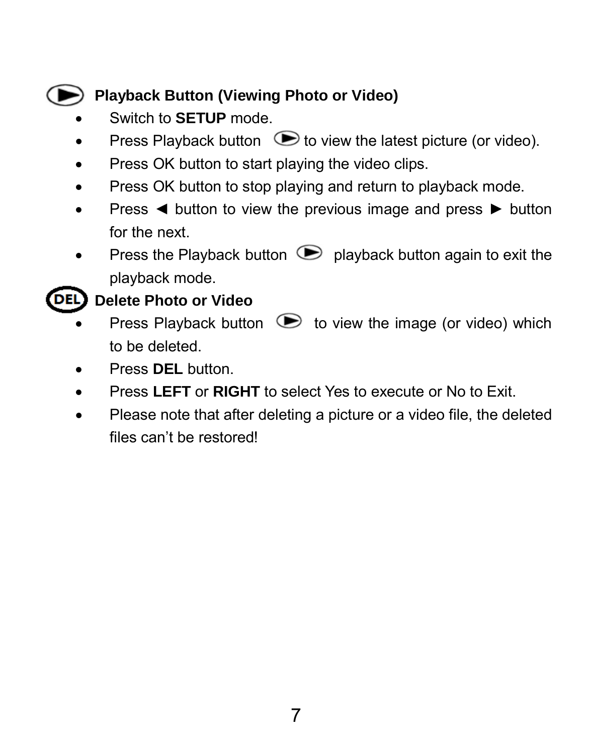### **Playback Button (Viewing Photo or Video)**

- Switch to **SETUP** mode.
- Press Playback button  $\bullet$  to view the latest picture (or video).
- Press OK button to start playing the video clips.
- Press OK button to stop playing and return to playback mode.
- Press ◄ button to view the previous image and press ► button for the next.
- Press the Playback button  $\bullet$  playback button again to exit the playback mode.

### **Delete Photo or Video**

- Press Playback button  $\bullet$  to view the image (or video) which to be deleted.
- Press **DEL** button.
- Press **LEFT** or **RIGHT** to select Yes to execute or No to Exit.
- Please note that after deleting a picture or a video file, the deleted files can't be restored!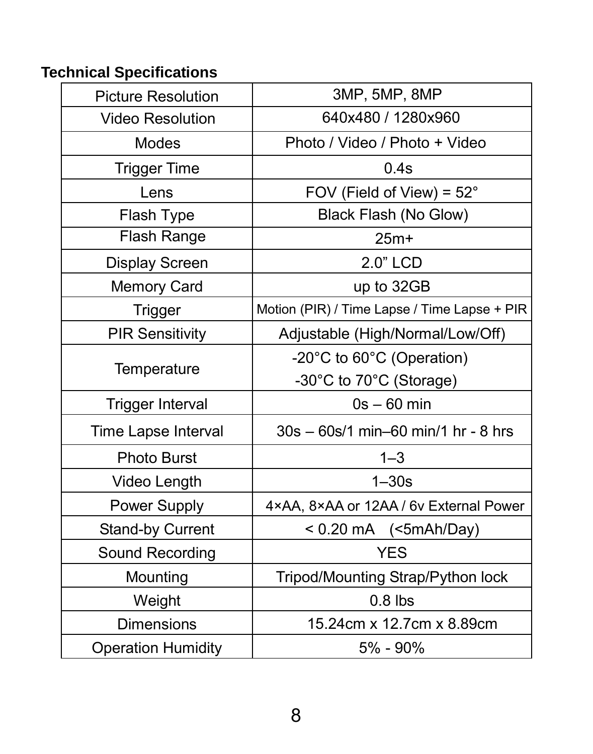### **Technical Specifications**

| <b>Picture Resolution</b> | 3MP, 5MP, 8MP                                |
|---------------------------|----------------------------------------------|
| <b>Video Resolution</b>   | 640x480 / 1280x960                           |
| <b>Modes</b>              | Photo / Video / Photo + Video                |
| Trigger Time              | 0.4s                                         |
| Lens                      | FOV (Field of View) = 52°                    |
| Flash Type                | Black Flash (No Glow)                        |
| Flash Range               | $25m+$                                       |
| Display Screen            | 2.0" LCD                                     |
| <b>Memory Card</b>        | up to 32GB                                   |
| Trigger                   | Motion (PIR) / Time Lapse / Time Lapse + PIR |
| <b>PIR Sensitivity</b>    | Adjustable (High/Normal/Low/Off)             |
|                           | -20°C to 60°C (Operation)                    |
| Temperature               | -30°C to 70°C (Storage)                      |
| <b>Trigger Interval</b>   | $0s - 60$ min                                |
| Time Lapse Interval       | $30s - 60s/1$ min-60 min/1 hr - 8 hrs        |
| <b>Photo Burst</b>        | $1 - 3$                                      |
| Video Length              | $1 - 30s$                                    |
| Power Supply              | 4×AA, 8×AA or 12AA / 6v External Power       |
| Stand-by Current          | $< 0.20 \text{ mA}$ (<5mAh/Day)              |
| Sound Recording           | <b>YES</b>                                   |
| Mounting                  | Tripod/Mounting Strap/Python lock            |
| Weight                    | $0.8$ lbs                                    |
| <b>Dimensions</b>         | 15.24cm x 12.7cm x 8.89cm                    |
| <b>Operation Humidity</b> | 5% - 90%                                     |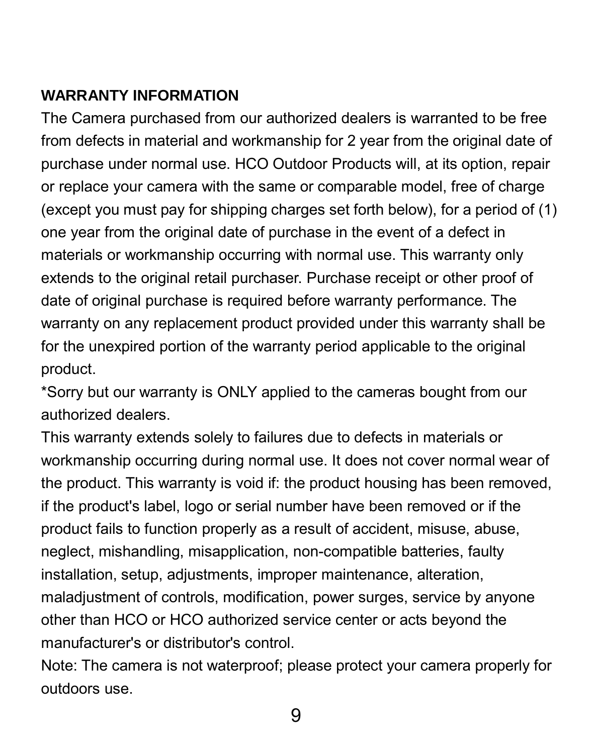### **WARRANTY INFORMATION**

The Camera purchased from our authorized dealers is warranted to be free from defects in material and workmanship for 2 year from the original date of purchase under normal use. HCO Outdoor Products will, at its option, repair or replace your camera with the same or comparable model, free of charge (except you must pay for shipping charges set forth below), for a period of (1) one year from the original date of purchase in the event of a defect in materials or workmanship occurring with normal use. This warranty only extends to the original retail purchaser. Purchase receipt or other proof of date of original purchase is required before warranty performance. The warranty on any replacement product provided under this warranty shall be for the unexpired portion of the warranty period applicable to the original product.

\*Sorry but our warranty is ONLY applied to the cameras bought from our authorized dealers.

This warranty extends solely to failures due to defects in materials or workmanship occurring during normal use. It does not cover normal wear of the product. This warranty is void if: the product housing has been removed, if the product's label, logo or serial number have been removed or if the product fails to function properly as a result of accident, misuse, abuse, neglect, mishandling, misapplication, non-compatible batteries, faulty installation, setup, adjustments, improper maintenance, alteration, maladjustment of controls, modification, power surges, service by anyone other than HCO or HCO authorized service center or acts beyond the manufacturer's or distributor's control.

Note: The camera is not waterproof; please protect your camera properly for outdoors use.

9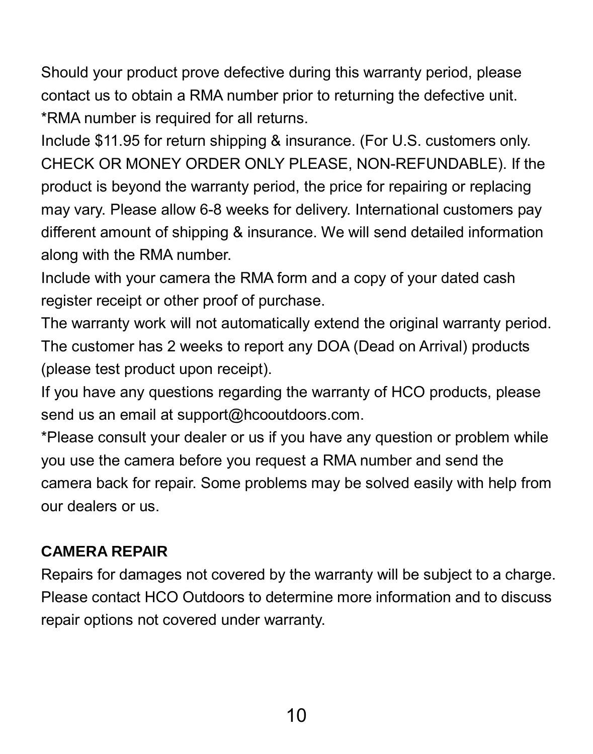Should your product prove defective during this warranty period, please contact us to obtain a RMA number prior to returning the defective unit. \*RMA number is required for all returns.

Include \$11.95 for return shipping & insurance. (For U.S. customers only. CHECK OR MONEY ORDER ONLY PLEASE, NON-REFUNDABLE). If the product is beyond the warranty period, the price for repairing or replacing may vary. Please allow 6-8 weeks for delivery. International customers pay different amount of shipping & insurance. We will send detailed information along with the RMA number.

Include with your camera the RMA form and a copy of your dated cash register receipt or other proof of purchase.

The warranty work will not automatically extend the original warranty period. The customer has 2 weeks to report any DOA (Dead on Arrival) products (please test product upon receipt).

If you have any questions regarding the warranty of HCO products, please send us an email at support@hcooutdoors.com.

\*Please consult your dealer or us if you have any question or problem while you use the camera before you request a RMA number and send the camera back for repair. Some problems may be solved easily with help from our dealers or us.

### **CAMERA REPAIR**

Repairs for damages not covered by the warranty will be subject to a charge. Please contact HCO Outdoors to determine more information and to discuss repair options not covered under warranty.